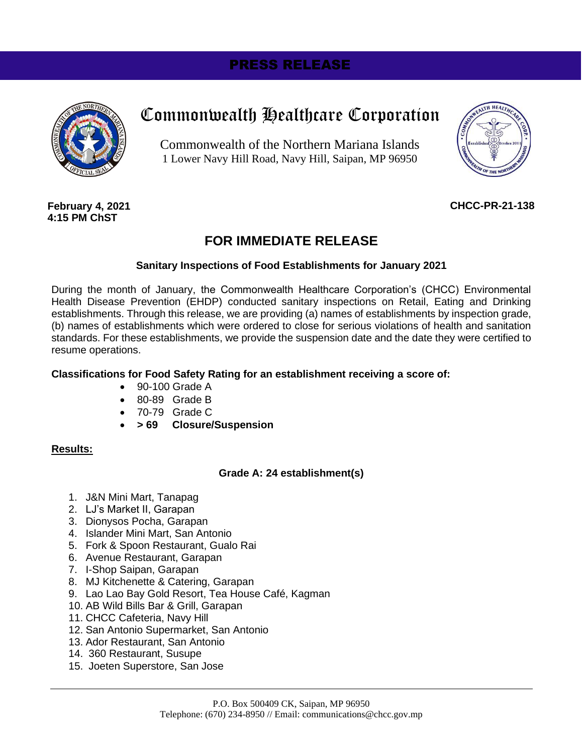# PRESS RELEASE



# Commonwealth Healthcare Corporation

Commonwealth of the Northern Mariana Islands 1 Lower Navy Hill Road, Navy Hill, Saipan, MP 96950



**February 4, 2021 4:15 PM ChST**

# **CHCC-PR-21-138**

# **FOR IMMEDIATE RELEASE**

# **Sanitary Inspections of Food Establishments for January 2021**

During the month of January, the Commonwealth Healthcare Corporation's (CHCC) Environmental Health Disease Prevention (EHDP) conducted sanitary inspections on Retail, Eating and Drinking establishments. Through this release, we are providing (a) names of establishments by inspection grade, (b) names of establishments which were ordered to close for serious violations of health and sanitation standards. For these establishments, we provide the suspension date and the date they were certified to resume operations.

### **Classifications for Food Safety Rating for an establishment receiving a score of:**

- 90-100 Grade A
- 80-89 Grade B
- 70-79 Grade C
- **> 69 Closure/Suspension**

#### **Results:**

# **Grade A: 24 establishment(s)**

- 1. J&N Mini Mart, Tanapag
- 2. LJ's Market II, Garapan
- 3. Dionysos Pocha, Garapan
- 4. Islander Mini Mart, San Antonio
- 5. Fork & Spoon Restaurant, Gualo Rai
- 6. Avenue Restaurant, Garapan
- 7. I-Shop Saipan, Garapan
- 8. MJ Kitchenette & Catering, Garapan
- 9. Lao Lao Bay Gold Resort, Tea House Café, Kagman
- 10. AB Wild Bills Bar & Grill, Garapan
- 11. CHCC Cafeteria, Navy Hill
- 12. San Antonio Supermarket, San Antonio
- 13. Ador Restaurant, San Antonio
- 14. 360 Restaurant, Susupe
- 15. Joeten Superstore, San Jose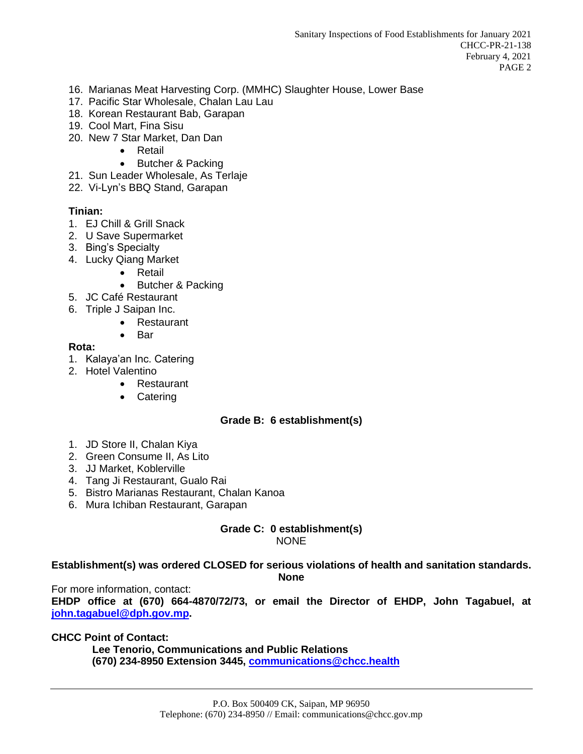- 16. Marianas Meat Harvesting Corp. (MMHC) Slaughter House, Lower Base
- 17. Pacific Star Wholesale, Chalan Lau Lau
- 18. Korean Restaurant Bab, Garapan
- 19. Cool Mart, Fina Sisu
- 20. New 7 Star Market, Dan Dan
	- Retail
		- Butcher & Packing
- 21. Sun Leader Wholesale, As Terlaje
- 22. Vi-Lyn's BBQ Stand, Garapan

# **Tinian:**

- 1. EJ Chill & Grill Snack
- 2. U Save Supermarket
- 3. Bing's Specialty
- 4. Lucky Qiang Market
	- Retail
	- Butcher & Packing
- 5. JC Café Restaurant
- 6. Triple J Saipan Inc.
	- Restaurant
	- Bar

# **Rota:**

- 1. Kalaya'an Inc. Catering
- 2. Hotel Valentino
	- Restaurant
	- Catering

# **Grade B: 6 establishment(s)**

- 1. JD Store II, Chalan Kiya
- 2. Green Consume II, As Lito
- 3. JJ Market, Koblerville
- 4. Tang Ji Restaurant, Gualo Rai
- 5. Bistro Marianas Restaurant, Chalan Kanoa
- 6. Mura Ichiban Restaurant, Garapan

#### **Grade C: 0 establishment(s)** NONE

**Establishment(s) was ordered CLOSED for serious violations of health and sanitation standards. None**

For more information, contact: **EHDP office at (670) 664-4870/72/73, or email the Director of EHDP, John Tagabuel, at [john.tagabuel@dph.gov.mp.](mailto:john.tagabuel@dph.gov.mp)** 

**CHCC Point of Contact:**

 **Lee Tenorio, Communications and Public Relations (670) 234-8950 Extension 3445, [communications@chcc.health](file:///C:/Users/lee.tenorio/Downloads/communications@chcc.health)**